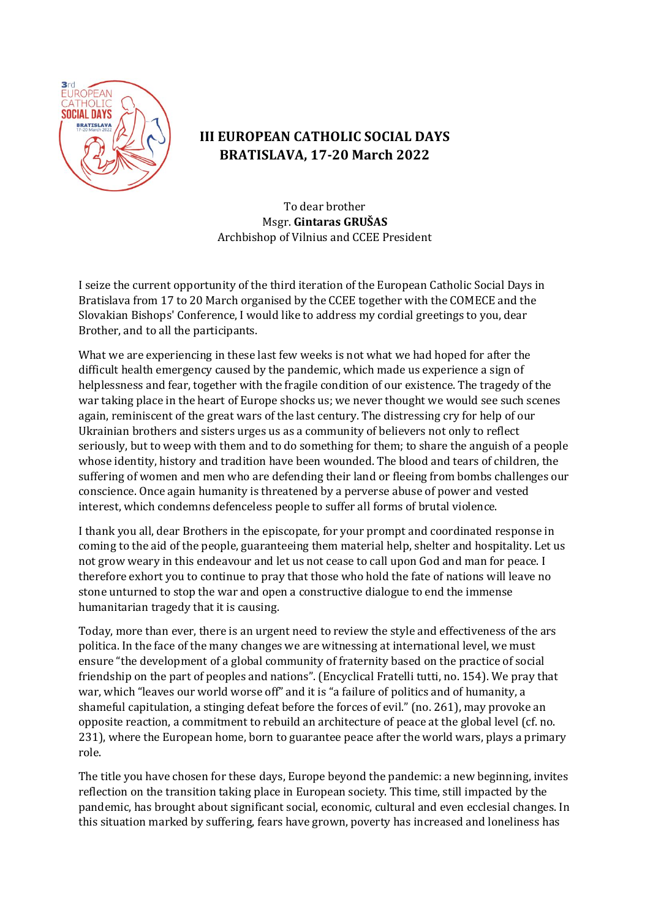

## **III EUROPEAN CATHOLIC SOCIAL DAYS BRATISLAVA, 17-20 March 2022**

To dear brother Msgr. **Gintaras GRUŠAS** Archbishop of Vilnius and CCEE President

I seize the current opportunity of the third iteration of the European Catholic Social Days in Bratislava from 17 to 20 March organised by the CCEE together with the COMECE and the Slovakian Bishops' Conference, I would like to address my cordial greetings to you, dear Brother, and to all the participants.

What we are experiencing in these last few weeks is not what we had hoped for after the difficult health emergency caused by the pandemic, which made us experience a sign of helplessness and fear, together with the fragile condition of our existence. The tragedy of the war taking place in the heart of Europe shocks us; we never thought we would see such scenes again, reminiscent of the great wars of the last century. The distressing cry for help of our Ukrainian brothers and sisters urges us as a community of believers not only to reflect seriously, but to weep with them and to do something for them; to share the anguish of a people whose identity, history and tradition have been wounded. The blood and tears of children, the suffering of women and men who are defending their land or fleeing from bombs challenges our conscience. Once again humanity is threatened by a perverse abuse of power and vested interest, which condemns defenceless people to suffer all forms of brutal violence.

I thank you all, dear Brothers in the episcopate, for your prompt and coordinated response in coming to the aid of the people, guaranteeing them material help, shelter and hospitality. Let us not grow weary in this endeavour and let us not cease to call upon God and man for peace. I therefore exhort you to continue to pray that those who hold the fate of nations will leave no stone unturned to stop the war and open a constructive dialogue to end the immense humanitarian tragedy that it is causing.

Today, more than ever, there is an urgent need to review the style and effectiveness of the ars politica. In the face of the many changes we are witnessing at international level, we must ensure "the development of a global community of fraternity based on the practice of social friendship on the part of peoples and nations". (Encyclical Fratelli tutti, no. 154). We pray that war, which "leaves our world worse off" and it is "a failure of politics and of humanity, a shameful capitulation, a stinging defeat before the forces of evil." (no. 261), may provoke an opposite reaction, a commitment to rebuild an architecture of peace at the global level (cf. no. 231), where the European home, born to guarantee peace after the world wars, plays a primary role.

The title you have chosen for these days, Europe beyond the pandemic: a new beginning, invites reflection on the transition taking place in European society. This time, still impacted by the pandemic, has brought about significant social, economic, cultural and even ecclesial changes. In this situation marked by suffering, fears have grown, poverty has increased and loneliness has